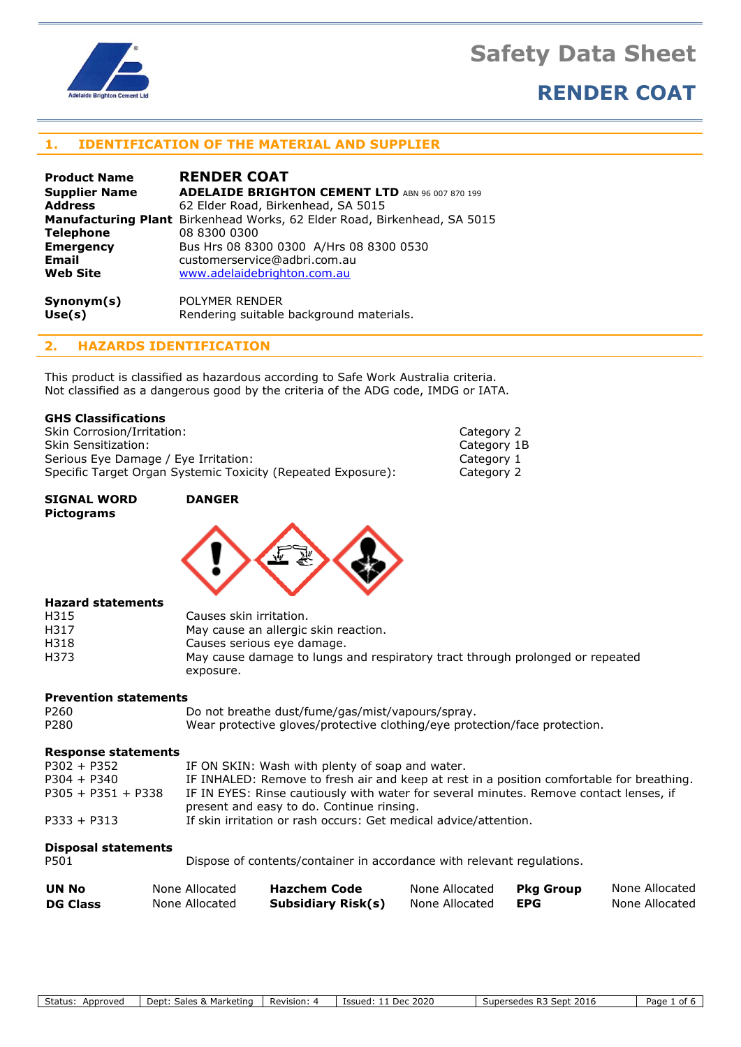

# **RENDER COAT**

### **1. IDENTIFICATION OF THE MATERIAL AND SUPPLIER**

| <b>Product Name</b>  | <b>RENDER COAT</b>                                                       |
|----------------------|--------------------------------------------------------------------------|
| <b>Supplier Name</b> | <b>ADELAIDE BRIGHTON CEMENT LTD</b> ABN 96 007 870 199                   |
| <b>Address</b>       | 62 Elder Road, Birkenhead, SA 5015                                       |
|                      | Manufacturing Plant Birkenhead Works, 62 Elder Road, Birkenhead, SA 5015 |
| <b>Telephone</b>     | 08 8300 0300                                                             |
| <b>Emergency</b>     | Bus Hrs 08 8300 0300 A/Hrs 08 8300 0530                                  |
| <b>Email</b>         | customerservice@adbri.com.au                                             |
| <b>Web Site</b>      | www.adelaidebrighton.com.au                                              |
| Symonym(s)           | POLYMER RENDER                                                           |
| Use(s)               | Rendering suitable background materials.                                 |

**2. HAZARDS IDENTIFICATION**

This product is classified as hazardous according to Safe Work Australia criteria. Not classified as a dangerous good by the criteria of the ADG code, IMDG or IATA.

### **GHS Classifications**

Skin Corrosion/Irritation: Category 2 Skin Sensitization: Category 1B Serious Eye Damage / Eye Irritation: Category 1 Specific Target Organ Systemic Toxicity (Repeated Exposure): Category 2

#### **SIGNAL WORD DANGER Pictograms**



#### **Hazard statements**

| H315 | Causes skin irritation.                                                       |
|------|-------------------------------------------------------------------------------|
| H317 | May cause an allergic skin reaction.                                          |
| H318 | Causes serious eye damage.                                                    |
| H373 | May cause damage to lungs and respiratory tract through prolonged or repeated |
|      | exposure.                                                                     |

#### **Prevention statements**

| P260 | Do not breathe dust/fume/gas/mist/vapours/spray.                           |
|------|----------------------------------------------------------------------------|
| P280 | Wear protective gloves/protective clothing/eye protection/face protection. |

#### **Response statements**

| $P302 + P352$        | IF ON SKIN: Wash with plenty of soap and water.                                                                                     |
|----------------------|-------------------------------------------------------------------------------------------------------------------------------------|
| $P304 + P340$        | IF INHALED: Remove to fresh air and keep at rest in a position comfortable for breathing.                                           |
| $P305 + P351 + P338$ | IF IN EYES: Rinse cautiously with water for several minutes. Remove contact lenses, if<br>present and easy to do. Continue rinsing. |
| $P333 + P313$        | If skin irritation or rash occurs: Get medical advice/attention.                                                                    |

### **Disposal statements**

| ۰.<br>×<br>۰,<br>۰.<br>× |
|--------------------------|
|--------------------------|

Dispose of contents/container in accordance with relevant regulations.

| UN No           | None Allocated | Hazchem Code              | None Allocated | Pka Group | None Allocated |
|-----------------|----------------|---------------------------|----------------|-----------|----------------|
| <b>DG Class</b> | None Allocated | <b>Subsidiary Risk(s)</b> | None Allocated | EPG       | None Allocated |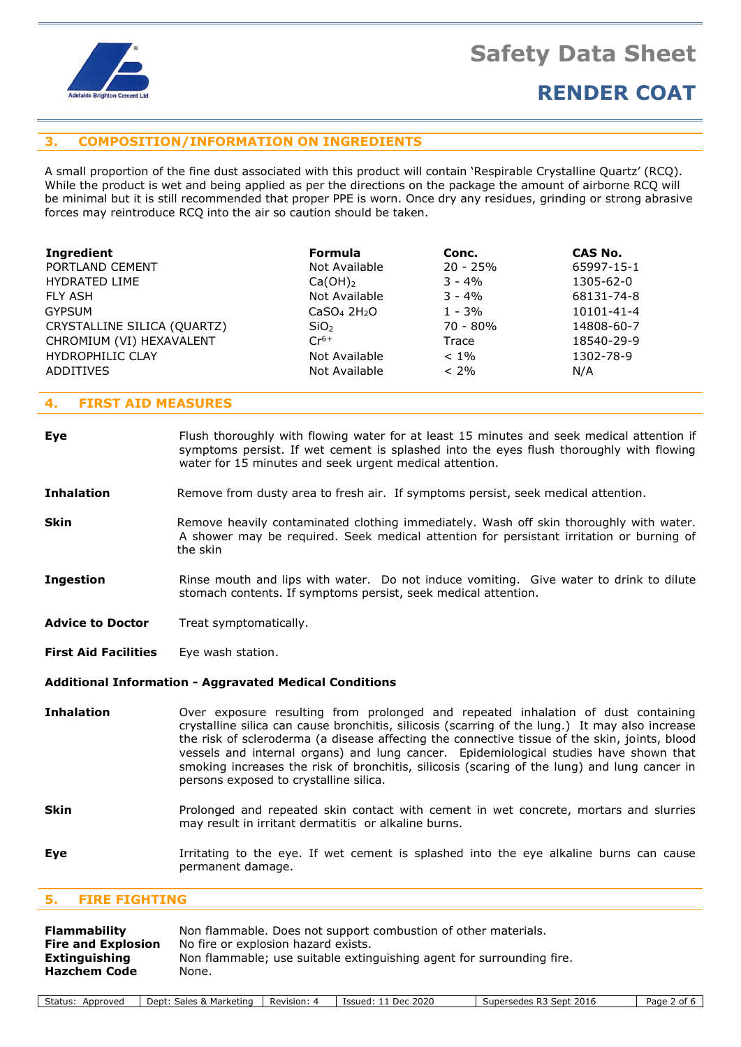

# **RENDER COAT**

### **3. COMPOSITION/INFORMATION ON INGREDIENTS**

A small proportion of the fine dust associated with this product will contain 'Respirable Crystalline Quartz' (RCQ). While the product is wet and being applied as per the directions on the package the amount of airborne RCQ will be minimal but it is still recommended that proper PPE is worn. Once dry any residues, grinding or strong abrasive forces may reintroduce RCQ into the air so caution should be taken.

| <b>Formula</b><br>Not Available<br>$Ca(OH)_2$<br>Not Available<br>CaSO <sub>4</sub> 2H <sub>2</sub> O<br>SiO <sub>2</sub><br>$Cr^{6+}$<br>Not Available | Conc.<br>$20 - 25%$<br>$3 - 4\%$<br>$3 - 4\%$<br>$1 - 3\%$<br>$70 - 80%$<br>Trace<br>$< 1\%$ | CAS No.<br>65997-15-1<br>1305-62-0<br>68131-74-8<br>10101-41-4<br>14808-60-7<br>18540-29-9<br>1302-78-9 |
|---------------------------------------------------------------------------------------------------------------------------------------------------------|----------------------------------------------------------------------------------------------|---------------------------------------------------------------------------------------------------------|
| Not Available                                                                                                                                           | $< 2\%$                                                                                      | N/A                                                                                                     |
|                                                                                                                                                         |                                                                                              |                                                                                                         |

### **4. FIRST AID MEASURES**

**Eye** Flush thoroughly with flowing water for at least 15 minutes and seek medical attention if symptoms persist. If wet cement is splashed into the eyes flush thoroughly with flowing water for 15 minutes and seek urgent medical attention.

#### **Inhalation** Remove from dusty area to fresh air. If symptoms persist, seek medical attention.

- **Skin** Remove heavily contaminated clothing immediately. Wash off skin thoroughly with water. A shower may be required. Seek medical attention for persistant irritation or burning of the skin
- **Ingestion** Rinse mouth and lips with water. Do not induce vomiting. Give water to drink to dilute stomach contents. If symptoms persist, seek medical attention.
- Advice to Doctor Treat symptomatically.

**First Aid Facilities** Eye wash station.

#### **Additional Information - Aggravated Medical Conditions**

- **Inhalation** Over exposure resulting from prolonged and repeated inhalation of dust containing crystalline silica can cause bronchitis, silicosis (scarring of the lung.) It may also increase the risk of scleroderma (a disease affecting the connective tissue of the skin, joints, blood vessels and internal organs) and lung cancer. Epidemiological studies have shown that smoking increases the risk of bronchitis, silicosis (scaring of the lung) and lung cancer in persons exposed to crystalline silica.
- **Skin** Prolonged and repeated skin contact with cement in wet concrete, mortars and slurries may result in irritant dermatitis or alkaline burns.
- **Eye I**rritating to the eye. If wet cement is splashed into the eye alkaline burns can cause permanent damage.

### **5. FIRE FIGHTING**

| <b>Flammability</b>       | Non flammable. Does not support combustion of other materials.        |
|---------------------------|-----------------------------------------------------------------------|
| <b>Fire and Explosion</b> | No fire or explosion hazard exists.                                   |
| Extinguishing             | Non flammable; use suitable extinguishing agent for surrounding fire. |
| <b>Hazchem Code</b>       | None.                                                                 |
|                           |                                                                       |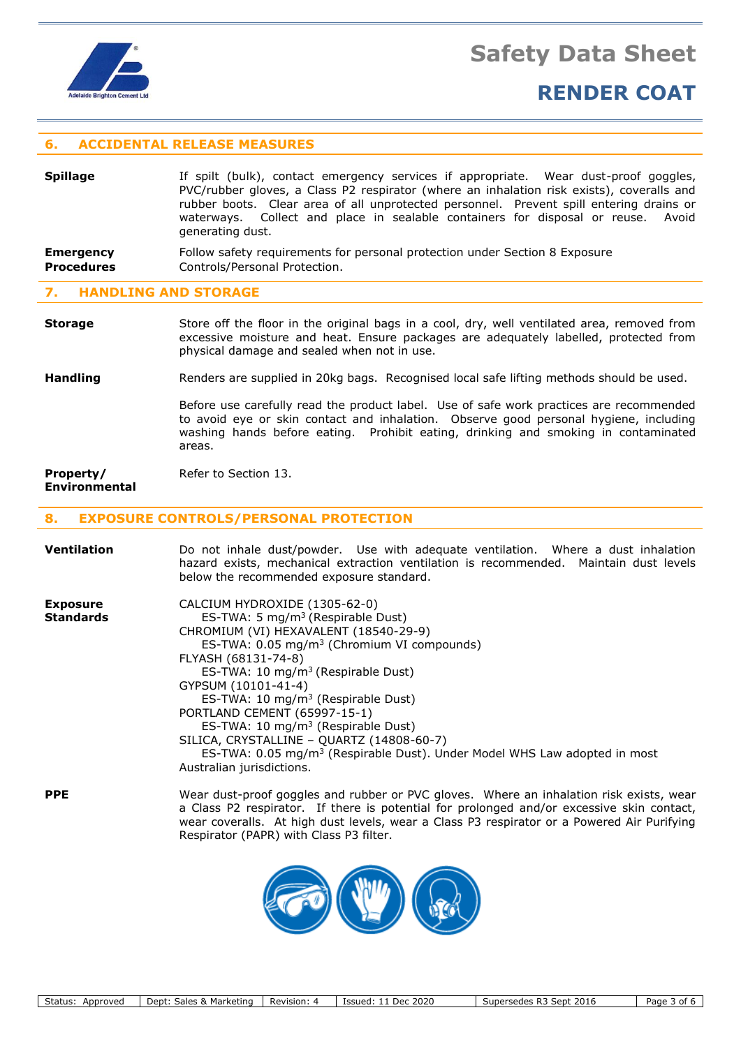

# **RENDER COAT**

### **6. ACCIDENTAL RELEASE MEASURES**

| <b>Spillage</b>   | If spilt (bulk), contact emergency services if appropriate. Wear dust-proof goggles,<br>PVC/rubber gloves, a Class P2 respirator (where an inhalation risk exists), coveralls and<br>rubber boots. Clear area of all unprotected personnel. Prevent spill entering drains or<br>waterways. Collect and place in sealable containers for disposal or reuse. Avoid<br>generating dust. |  |  |  |  |  |  |  |  |
|-------------------|--------------------------------------------------------------------------------------------------------------------------------------------------------------------------------------------------------------------------------------------------------------------------------------------------------------------------------------------------------------------------------------|--|--|--|--|--|--|--|--|
| <b>Emergency</b>  | Follow safety requirements for personal protection under Section 8 Exposure                                                                                                                                                                                                                                                                                                          |  |  |  |  |  |  |  |  |
| <b>Procedures</b> | Controls/Personal Protection.                                                                                                                                                                                                                                                                                                                                                        |  |  |  |  |  |  |  |  |

#### **7. HANDLING AND STORAGE**

**Storage** Store off the floor in the original bags in a cool, dry, well ventilated area, removed from excessive moisture and heat. Ensure packages are adequately labelled, protected from physical damage and sealed when not in use.

**Handling** Renders are supplied in 20kg bags. Recognised local safe lifting methods should be used.

Before use carefully read the product label. Use of safe work practices are recommended to avoid eye or skin contact and inhalation. Observe good personal hygiene, including washing hands before eating. Prohibit eating, drinking and smoking in contaminated areas.

#### **Property/** Refer to Section 13. **Environmental**

### **8. EXPOSURE CONTROLS/PERSONAL PROTECTION**

| Ventilation                         | Do not inhale dust/powder. Use with adequate ventilation. Where a dust inhalation<br>hazard exists, mechanical extraction ventilation is recommended. Maintain dust levels<br>below the recommended exposure standard.                                                                                                                                                                                                                                                                                                                                                         |
|-------------------------------------|--------------------------------------------------------------------------------------------------------------------------------------------------------------------------------------------------------------------------------------------------------------------------------------------------------------------------------------------------------------------------------------------------------------------------------------------------------------------------------------------------------------------------------------------------------------------------------|
| <b>Exposure</b><br><b>Standards</b> | CALCIUM HYDROXIDE (1305-62-0)<br>ES-TWA: 5 $mg/m3$ (Respirable Dust)<br>CHROMIUM (VI) HEXAVALENT (18540-29-9)<br>ES-TWA: 0.05 mg/m <sup>3</sup> (Chromium VI compounds)<br>FLYASH (68131-74-8)<br>ES-TWA: 10 mg/m <sup>3</sup> (Respirable Dust)<br>GYPSUM (10101-41-4)<br>ES-TWA: 10 mg/m <sup>3</sup> (Respirable Dust)<br>PORTLAND CEMENT (65997-15-1)<br>ES-TWA: 10 mg/m <sup>3</sup> (Respirable Dust)<br>SILICA, CRYSTALLINE - QUARTZ (14808-60-7)<br>ES-TWA: 0.05 mg/m <sup>3</sup> (Respirable Dust). Under Model WHS Law adopted in most<br>Australian jurisdictions. |
| <b>PPE</b>                          | Wear dust-proof goggles and rubber or PVC gloves. Where an inhalation risk exists, wear<br>a Class P2 respirator. If there is potential for prolonged and/or excessive skin contact,<br>wear coveralls. At high dust levels, wear a Class P3 respirator or a Powered Air Purifying<br>Respirator (PAPR) with Class P3 filter.                                                                                                                                                                                                                                                  |

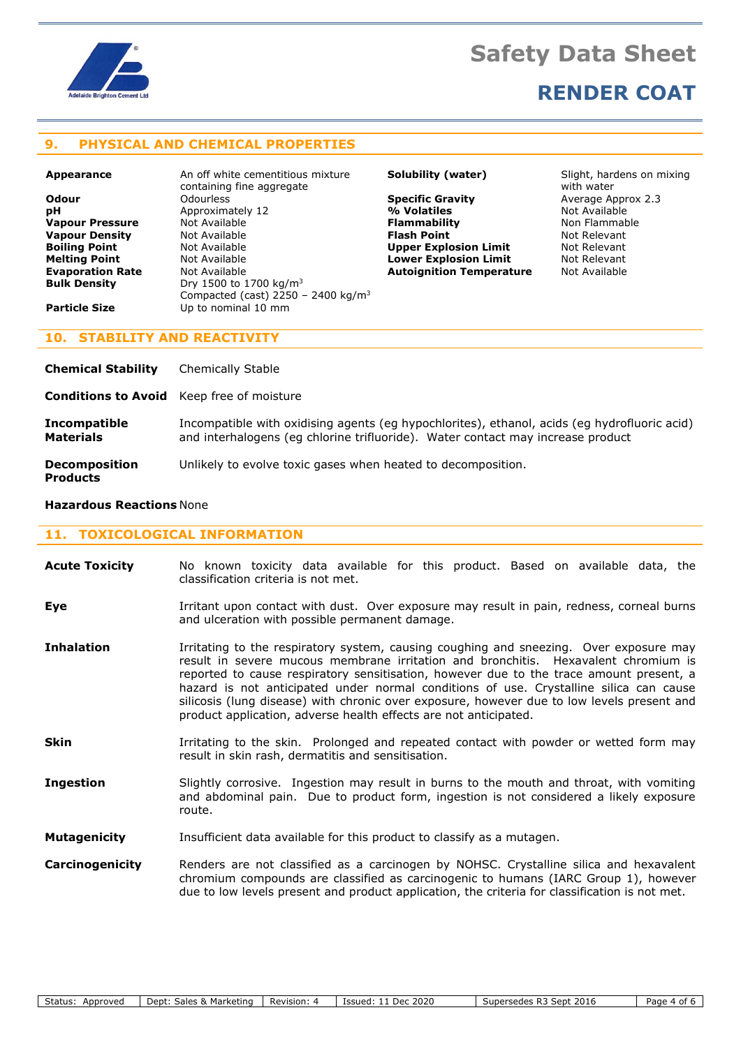

## **RENDER COAT**

## **9. PHYSICAL AND CHEMICAL PROPERTIES**

**Appearance** An off white cementitious mixture containing fine aggregate **Odour** Odourless **Specific Gravity** Average Approx 2.3 **pH** Approximately 12 **12 Approximately 12 12 Approximately 12** And Available **Vapour Pressure** Not Available **Vapour Pressure** Not Available **Vapour Pressure** Mot Available **Flammability of Available Constructs Flammability**<br> **Flash Point** Not Available **Non-Flammability Constructs Vapour Density Not Available <b>Flash Point Flash Point** Not Relevant **Boiling Point Not Available 19 (A) Upper Explosion Limit** and Relevant **Not Relevant Not Available 19 (A) Lower Explosion Limit** 19 (Not Relevant **Evaporation Rate** Mot Available **Autoignition Temperature** Not Available **Bulk Density Construct Construct Available Bulk Density** Dry 1500 to 1700 kg/m<sup>3</sup> Compacted (cast) 2250 – 2400 kg/m<sup>3</sup> **Particle Size** Up to nominal 10 mm

**Lower Explosion Limit** 

**Solubility (water)** Slight, hardens on mixing with water

### **10. STABILITY AND REACTIVITY**

| <b>Chemical Stability</b>                        | Chemically Stable                                                                                                                                                               |
|--------------------------------------------------|---------------------------------------------------------------------------------------------------------------------------------------------------------------------------------|
| <b>Conditions to Avoid</b> Keep free of moisture |                                                                                                                                                                                 |
| <b>Incompatible</b><br>Materials                 | Incompatible with oxidising agents (eg hypochlorites), ethanol, acids (eg hydrofluoric acid)<br>and interhalogens (eg chlorine trifluoride). Water contact may increase product |
| <b>Decomposition</b><br><b>Products</b>          | Unlikely to evolve toxic gases when heated to decomposition.                                                                                                                    |

#### **Hazardous Reactions** None

#### **11. TOXICOLOGICAL INFORMATION**

| <b>Acute Toxicity</b> |  |                                     | No known toxicity data available for this product. Based on available data, the |  |  |  |  |
|-----------------------|--|-------------------------------------|---------------------------------------------------------------------------------|--|--|--|--|
|                       |  | classification criteria is not met. |                                                                                 |  |  |  |  |

- **Eye I**rritant upon contact with dust. Over exposure may result in pain, redness, corneal burns and ulceration with possible permanent damage.
- **Inhalation** Irritating to the respiratory system, causing coughing and sneezing. Over exposure may result in severe mucous membrane irritation and bronchitis. Hexavalent chromium is reported to cause respiratory sensitisation, however due to the trace amount present, a hazard is not anticipated under normal conditions of use. Crystalline silica can cause silicosis (lung disease) with chronic over exposure, however due to low levels present and product application, adverse health effects are not anticipated.
- **Skin** Irritating to the skin. Prolonged and repeated contact with powder or wetted form may result in skin rash, dermatitis and sensitisation.
- **Ingestion** Slightly corrosive. Ingestion may result in burns to the mouth and throat, with vomiting and abdominal pain. Due to product form, ingestion is not considered a likely exposure route.
- **Mutagenicity** Insufficient data available for this product to classify as a mutagen.
- **Carcinogenicity** Renders are not classified as a carcinogen by NOHSC. Crystalline silica and hexavalent chromium compounds are classified as carcinogenic to humans (IARC Group 1), however due to low levels present and product application, the criteria for classification is not met.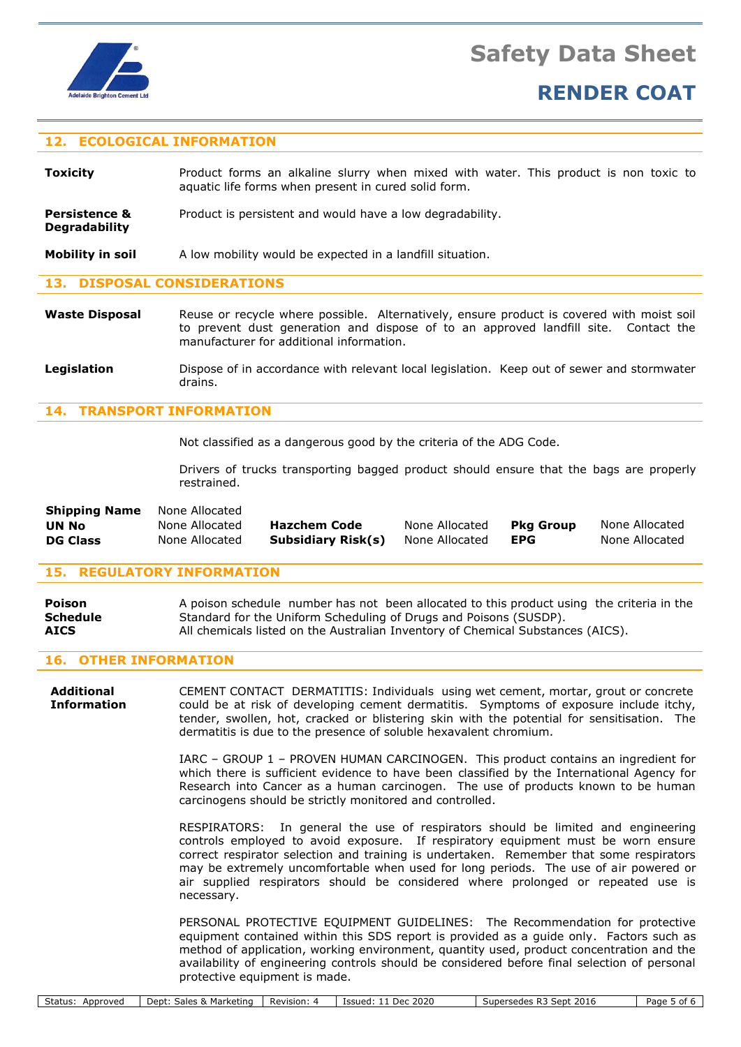

### **12. ECOLOGICAL INFORMATION**

| Toxicity | Product forms an alkaline slurry when mixed with water. This product is non toxic to |  |  |  |  |  |  |  |  |  |  |
|----------|--------------------------------------------------------------------------------------|--|--|--|--|--|--|--|--|--|--|
|          | aquatic life forms when present in cured solid form.                                 |  |  |  |  |  |  |  |  |  |  |

**Persistence &** Product is persistent and would have a low degradability. **Degradability**

**Mobility in soil** A low mobility would be expected in a landfill situation.

#### **13. DISPOSAL CONSIDERATIONS**

- Waste Disposal Reuse or recycle where possible. Alternatively, ensure product is covered with moist soil to prevent dust generation and dispose of to an approved landfill site. Contact the manufacturer for additional information.
- **Legislation** Dispose of in accordance with relevant local legislation. Keep out of sewer and stormwater drains.

### **14. TRANSPORT INFORMATION**

Not classified as a dangerous good by the criteria of the ADG Code.

Drivers of trucks transporting bagged product should ensure that the bags are properly restrained.

| <b>Shipping Name</b> | None Allocated |                     |                |                  |                |
|----------------------|----------------|---------------------|----------------|------------------|----------------|
| UN No                | None Allocated | <b>Hazchem Code</b> | None Allocated | <b>Pkg Group</b> | None Allocated |
| <b>DG Class</b>      | None Allocated | Subsidiary Risk(s)  | None Allocated | <b>EPG</b>       | None Allocated |

#### **15. REGULATORY INFORMATION**

| Poison      | A poison schedule number has not been allocated to this product using the criteria in the |
|-------------|-------------------------------------------------------------------------------------------|
| Schedule    | Standard for the Uniform Scheduling of Drugs and Poisons (SUSDP).                         |
| <b>AICS</b> | All chemicals listed on the Australian Inventory of Chemical Substances (AICS).           |

### **16. OTHER INFORMATION**

**Additional** CEMENT CONTACT DERMATITIS: Individuals using wet cement, mortar, grout or concrete **Information** could be at risk of developing cement dermatitis. Symptoms of exposure include itchy, tender, swollen, hot, cracked or blistering skin with the potential for sensitisation. The dermatitis is due to the presence of soluble hexavalent chromium.

> IARC – GROUP 1 – PROVEN HUMAN CARCINOGEN. This product contains an ingredient for which there is sufficient evidence to have been classified by the International Agency for Research into Cancer as a human carcinogen. The use of products known to be human carcinogens should be strictly monitored and controlled.

> RESPIRATORS: In general the use of respirators should be limited and engineering controls employed to avoid exposure. If respiratory equipment must be worn ensure correct respirator selection and training is undertaken. Remember that some respirators may be extremely uncomfortable when used for long periods. The use of air powered or air supplied respirators should be considered where prolonged or repeated use is necessary.

> PERSONAL PROTECTIVE EQUIPMENT GUIDELINES: The Recommendation for protective equipment contained within this SDS report is provided as a guide only. Factors such as method of application, working environment, quantity used, product concentration and the availability of engineering controls should be considered before final selection of personal protective equipment is made.

| Status:<br>Approved | . Marketinc<br>Innt:<br>$\cdots$<br>bales.<br>vevu | Revision: | 2020<br>Dec<br>Issued: | 2016<br>D.T<br>sept<br>Supersede:<br>к., | ^ממני<br>- 01<br>auc |
|---------------------|----------------------------------------------------|-----------|------------------------|------------------------------------------|----------------------|
|                     |                                                    |           |                        |                                          |                      |